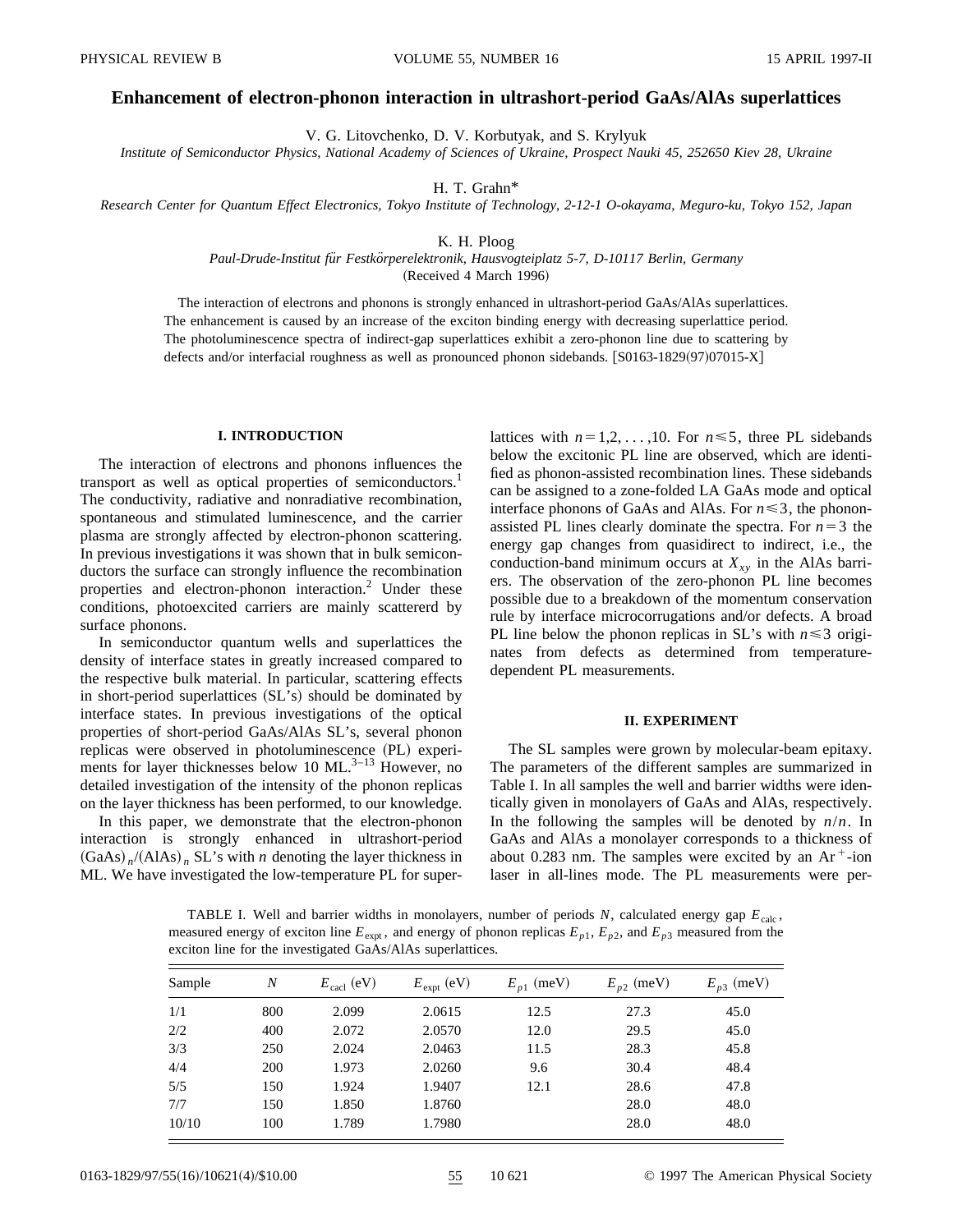# **Enhancement of electron-phonon interaction in ultrashort-period GaAs/AlAs superlattices**

V. G. Litovchenko, D. V. Korbutyak, and S. Krylyuk

*Institute of Semiconductor Physics, National Academy of Sciences of Ukraine, Prospect Nauki 45, 252650 Kiev 28, Ukraine*

H. T. Grahn\*

*Research Center for Quantum Effect Electronics, Tokyo Institute of Technology, 2-12-1 O-okayama, Meguro-ku, Tokyo 152, Japan*

### K. H. Ploog

*Paul-Drude-Institut fu¨r Festko¨rperelektronik, Hausvogteiplatz 5-7, D-10117 Berlin, Germany*

(Received 4 March 1996)

The interaction of electrons and phonons is strongly enhanced in ultrashort-period GaAs/AlAs superlattices. The enhancement is caused by an increase of the exciton binding energy with decreasing superlattice period. The photoluminescence spectra of indirect-gap superlattices exhibit a zero-phonon line due to scattering by defects and/or interfacial roughness as well as pronounced phonon sidebands.  $[$0163-1829(97)07015-X]$ 

## **I. INTRODUCTION**

The interaction of electrons and phonons influences the transport as well as optical properties of semiconductors.<sup>1</sup> The conductivity, radiative and nonradiative recombination, spontaneous and stimulated luminescence, and the carrier plasma are strongly affected by electron-phonon scattering. In previous investigations it was shown that in bulk semiconductors the surface can strongly influence the recombination properties and electron-phonon interaction.<sup>2</sup> Under these conditions, photoexcited carriers are mainly scattererd by surface phonons.

In semiconductor quantum wells and superlattices the density of interface states in greatly increased compared to the respective bulk material. In particular, scattering effects in short-period superlattices  $(SL's)$  should be dominated by interface states. In previous investigations of the optical properties of short-period GaAs/AlAs SL's, several phonon replicas were observed in photoluminescence (PL) experiments for layer thicknesses below 10 ML. $3-13$  However, no detailed investigation of the intensity of the phonon replicas on the layer thickness has been performed, to our knowledge.

In this paper, we demonstrate that the electron-phonon interaction is strongly enhanced in ultrashort-period  $(GaAs)$   $_n/(A1As)$   $_n$  SL's with *n* denoting the layer thickness in ML. We have investigated the low-temperature PL for superlattices with  $n=1,2,\ldots,10$ . For  $n \le 5$ , three PL sidebands below the excitonic PL line are observed, which are identified as phonon-assisted recombination lines. These sidebands can be assigned to a zone-folded LA GaAs mode and optical interface phonons of GaAs and AlAs. For  $n \leq 3$ , the phononassisted PL lines clearly dominate the spectra. For  $n=3$  the energy gap changes from quasidirect to indirect, i.e., the conduction-band minimum occurs at  $X_{xy}$  in the AlAs barriers. The observation of the zero-phonon PL line becomes possible due to a breakdown of the momentum conservation rule by interface microcorrugations and/or defects. A broad PL line below the phonon replicas in SL's with  $n \leq 3$  originates from defects as determined from temperaturedependent PL measurements.

#### **II. EXPERIMENT**

The SL samples were grown by molecular-beam epitaxy. The parameters of the different samples are summarized in Table I. In all samples the well and barrier widths were identically given in monolayers of GaAs and AlAs, respectively. In the following the samples will be denoted by  $n/n$ . In GaAs and AlAs a monolayer corresponds to a thickness of about 0.283 nm. The samples were excited by an  $Ar^+$ -ion laser in all-lines mode. The PL measurements were per-

TABLE I. Well and barrier widths in monolayers, number of periods *N*, calculated energy gap *E*calc , measured energy of exciton line  $E_{\text{expt}}$ , and energy of phonon replicas  $E_{p1}$ ,  $E_{p2}$ , and  $E_{p3}$  measured from the exciton line for the investigated GaAs/AlAs superlattices.

| Sample | $\boldsymbol{N}$ | $E_{\text{calc}}$ (eV) | $E_{\text{expt}}$ (eV) | $E_{p1}$ (meV) | $E_{p2}$ (meV) | $E_{p3}$ (meV) |
|--------|------------------|------------------------|------------------------|----------------|----------------|----------------|
| 1/1    | 800              | 2.099                  | 2.0615                 | 12.5           | 27.3           | 45.0           |
| 2/2    | 400              | 2.072                  | 2.0570                 | 12.0           | 29.5           | 45.0           |
| 3/3    | 250              | 2.024                  | 2.0463                 | 11.5           | 28.3           | 45.8           |
| 4/4    | 200              | 1.973                  | 2.0260                 | 9.6            | 30.4           | 48.4           |
| 5/5    | 150              | 1.924                  | 1.9407                 | 12.1           | 28.6           | 47.8           |
| 7/7    | 150              | 1.850                  | 1.8760                 |                | 28.0           | 48.0           |
| 10/10  | 100              | 1.789                  | 1.7980                 |                | 28.0           | 48.0           |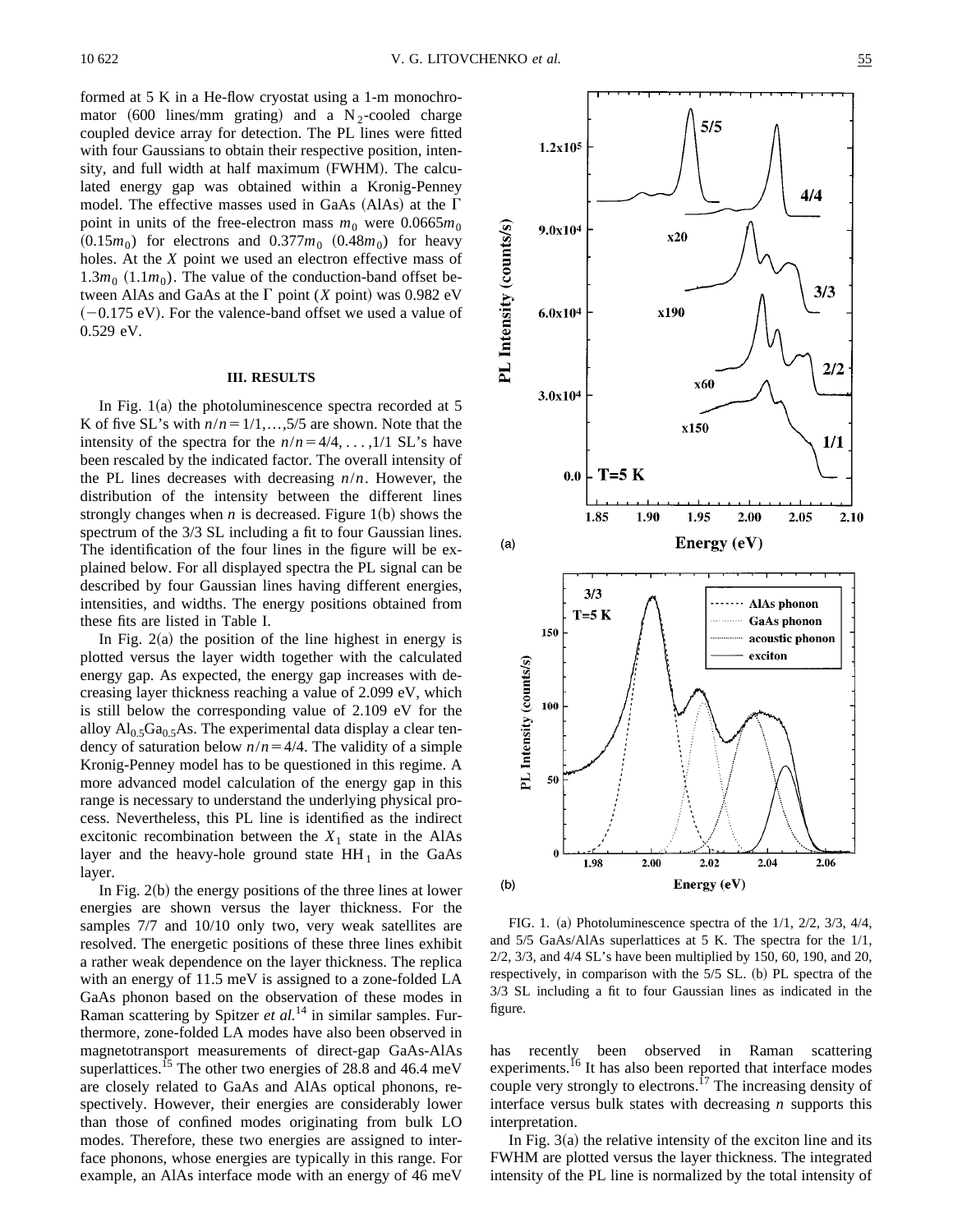formed at 5 K in a He-flow cryostat using a 1-m monochromator  $(600 \text{ lines/mm} \text{ grating})$  and a N<sub>2</sub>-cooled charge coupled device array for detection. The PL lines were fitted with four Gaussians to obtain their respective position, intensity, and full width at half maximum (FWHM). The calculated energy gap was obtained within a Kronig-Penney model. The effective masses used in GaAs  $(AIAs)$  at the  $\Gamma$ point in units of the free-electron mass  $m_0$  were 0.0665 $m_0$  $(0.15m_0)$  for electrons and  $0.377m_0$   $(0.48m_0)$  for heavy holes. At the *X* point we used an electron effective mass of  $1.3m_0$   $(1.1m_0)$ . The value of the conduction-band offset between AlAs and GaAs at the  $\Gamma$  point (*X* point) was 0.982 eV  $(-0.175 \text{ eV})$ . For the valence-band offset we used a value of 0.529 eV.

## **III. RESULTS**

In Fig.  $1(a)$  the photoluminescence spectra recorded at 5 K of five SL's with  $n/n = 1/1, \ldots, 5/5$  are shown. Note that the intensity of the spectra for the  $n/n=4/4, \ldots, 1/1$  SL's have been rescaled by the indicated factor. The overall intensity of the PL lines decreases with decreasing *n*/*n*. However, the distribution of the intensity between the different lines strongly changes when  $n$  is decreased. Figure 1(b) shows the spectrum of the  $3/3$  SL including a fit to four Gaussian lines. The identification of the four lines in the figure will be explained below. For all displayed spectra the PL signal can be described by four Gaussian lines having different energies, intensities, and widths. The energy positions obtained from these fits are listed in Table I.

In Fig.  $2(a)$  the position of the line highest in energy is plotted versus the layer width together with the calculated energy gap. As expected, the energy gap increases with decreasing layer thickness reaching a value of 2.099 eV, which is still below the corresponding value of 2.109 eV for the alloy  $Al_0$ ,  $Ga_0$ ,  $As$ . The experimental data display a clear tendency of saturation below  $n/n = 4/4$ . The validity of a simple Kronig-Penney model has to be questioned in this regime. A more advanced model calculation of the energy gap in this range is necessary to understand the underlying physical process. Nevertheless, this PL line is identified as the indirect excitonic recombination between the  $X_1$  state in the AlAs layer and the heavy-hole ground state  $HH_1$  in the GaAs layer.

In Fig.  $2(b)$  the energy positions of the three lines at lower energies are shown versus the layer thickness. For the samples 7/7 and 10/10 only two, very weak satellites are resolved. The energetic positions of these three lines exhibit a rather weak dependence on the layer thickness. The replica with an energy of 11.5 meV is assigned to a zone-folded LA GaAs phonon based on the observation of these modes in Raman scattering by Spitzer *et al.*<sup>14</sup> in similar samples. Furthermore, zone-folded LA modes have also been observed in magnetotransport measurements of direct-gap GaAs-AlAs superlattices.<sup>15</sup> The other two energies of 28.8 and 46.4 meV are closely related to GaAs and AlAs optical phonons, respectively. However, their energies are considerably lower than those of confined modes originating from bulk LO modes. Therefore, these two energies are assigned to interface phonons, whose energies are typically in this range. For example, an AlAs interface mode with an energy of 46 meV



FIG. 1. (a) Photoluminescence spectra of the  $1/1$ ,  $2/2$ ,  $3/3$ ,  $4/4$ , and 5/5 GaAs/AlAs superlattices at 5 K. The spectra for the 1/1, 2/2, 3/3, and 4/4 SL's have been multiplied by 150, 60, 190, and 20, respectively, in comparison with the 5/5 SL. (b) PL spectra of the 3/3 SL including a fit to four Gaussian lines as indicated in the figure.

has recently been observed in Raman scattering experiments.<sup>16</sup> It has also been reported that interface modes couple very strongly to electrons.<sup>17</sup> The increasing density of interface versus bulk states with decreasing *n* supports this interpretation.

In Fig.  $3(a)$  the relative intensity of the exciton line and its FWHM are plotted versus the layer thickness. The integrated intensity of the PL line is normalized by the total intensity of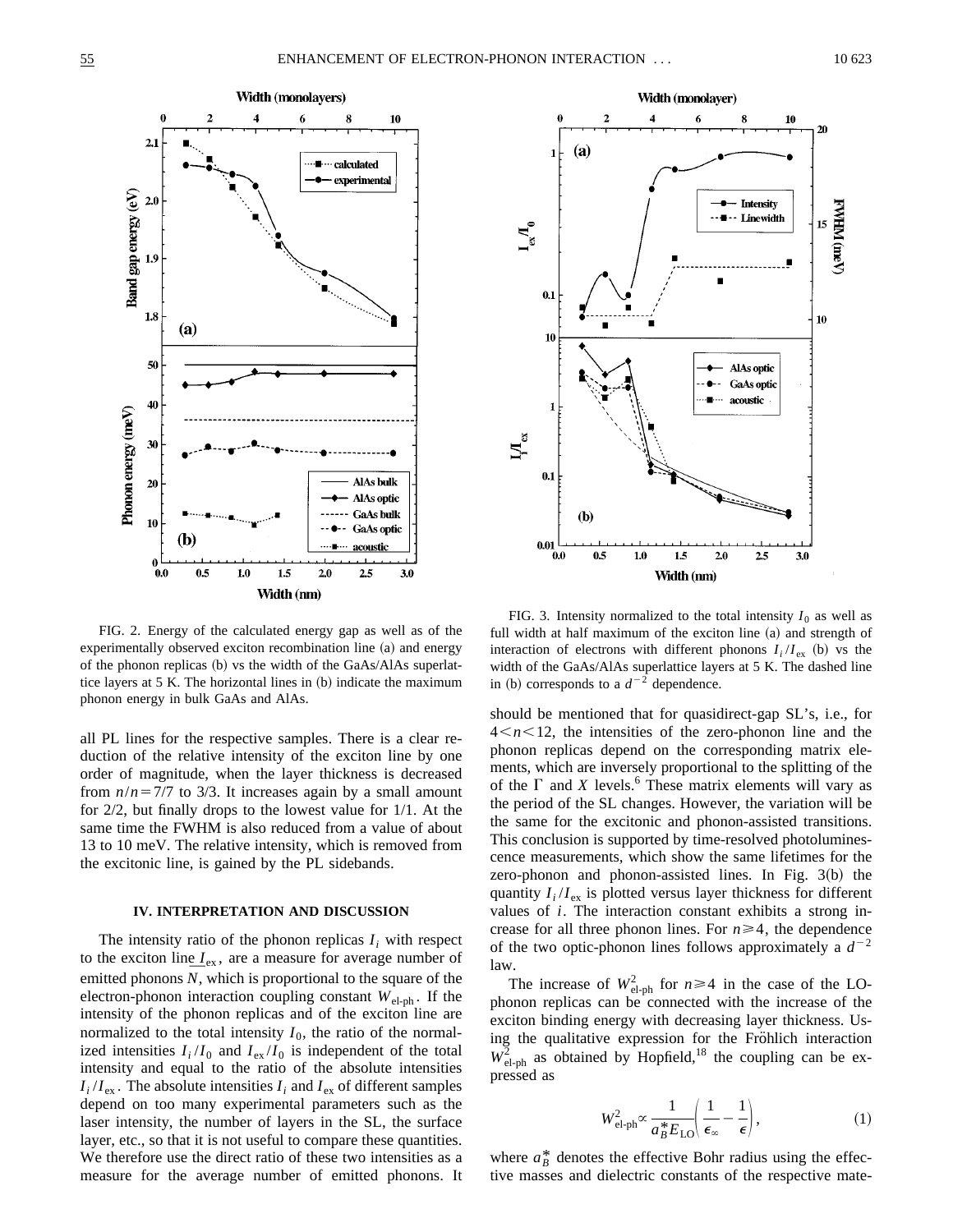

FIG. 2. Energy of the calculated energy gap as well as of the experimentally observed exciton recombination line (a) and energy of the phonon replicas  $(b)$  vs the width of the GaAs/AlAs superlattice layers at  $5 K$ . The horizontal lines in  $(b)$  indicate the maximum phonon energy in bulk GaAs and AlAs.

all PL lines for the respective samples. There is a clear reduction of the relative intensity of the exciton line by one order of magnitude, when the layer thickness is decreased from  $n/n = 7/7$  to 3/3. It increases again by a small amount for 2/2, but finally drops to the lowest value for 1/1. At the same time the FWHM is also reduced from a value of about 13 to 10 meV. The relative intensity, which is removed from the excitonic line, is gained by the PL sidebands.

#### **IV. INTERPRETATION AND DISCUSSION**

The intensity ratio of the phonon replicas  $I_i$  with respect to the exciton line  $I_{ex}$ , are a measure for average number of emitted phonons *N*, which is proportional to the square of the electron-phonon interaction coupling constant  $W_{el-ph}$ . If the intensity of the phonon replicas and of the exciton line are normalized to the total intensity  $I_0$ , the ratio of the normalized intensities  $I_i/I_0$  and  $I_{ex}/I_0$  is independent of the total intensity and equal to the ratio of the absolute intensities  $I_i/I_{\text{ex}}$ . The absolute intensities  $I_i$  and  $I_{\text{ex}}$  of different samples depend on too many experimental parameters such as the laser intensity, the number of layers in the SL, the surface layer, etc., so that it is not useful to compare these quantities. We therefore use the direct ratio of these two intensities as a measure for the average number of emitted phonons. It



FIG. 3. Intensity normalized to the total intensity  $I_0$  as well as full width at half maximum of the exciton line (a) and strength of interaction of electrons with different phonons  $I_i/I_{\text{ex}}$  (b) vs the width of the GaAs/AlAs superlattice layers at 5 K. The dashed line in (b) corresponds to a  $d^{-2}$  dependence.

should be mentioned that for quasidirect-gap SL's, i.e., for  $4 < n < 12$ , the intensities of the zero-phonon line and the phonon replicas depend on the corresponding matrix elements, which are inversely proportional to the splitting of the of the  $\Gamma$  and *X* levels.<sup>6</sup> These matrix elements will vary as the period of the SL changes. However, the variation will be the same for the excitonic and phonon-assisted transitions. This conclusion is supported by time-resolved photoluminescence measurements, which show the same lifetimes for the zero-phonon and phonon-assisted lines. In Fig.  $3(b)$  the quantity  $I_i/I_{ex}$  is plotted versus layer thickness for different values of *i*. The interaction constant exhibits a strong increase for all three phonon lines. For  $n \geq 4$ , the dependence of the two optic-phonon lines follows approximately a  $d^{-2}$ law.

The increase of  $W_{\text{el-ph}}^2$  for  $n \ge 4$  in the case of the LOphonon replicas can be connected with the increase of the exciton binding energy with decreasing layer thickness. Using the qualitative expression for the Fröhlich interaction  $W_{el-ph}^2$  as obtained by Hopfield,<sup>18</sup> the coupling can be expressed as

$$
W_{\text{el-ph}}^2 \propto \frac{1}{a_B^* E_{\text{LO}}} \left( \frac{1}{\epsilon_\infty} - \frac{1}{\epsilon} \right),\tag{1}
$$

where  $a_B^*$  denotes the effective Bohr radius using the effective masses and dielectric constants of the respective mate